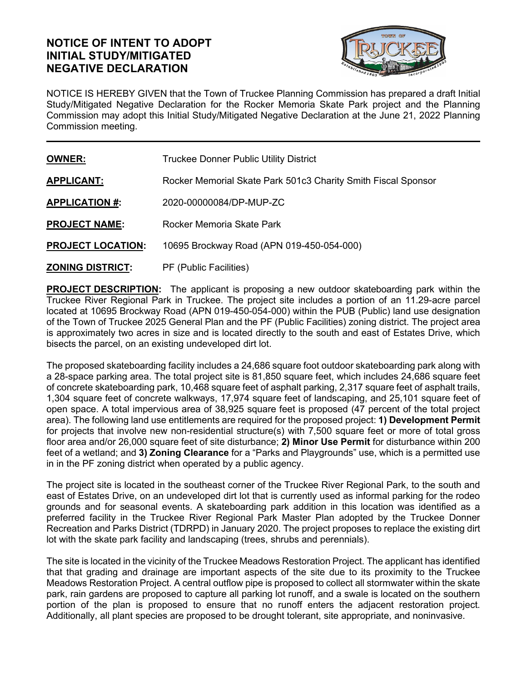## **NOTICE OF INTENT TO ADOPT INITIAL STUDY/MITIGATED NEGATIVE DECLARATION**



NOTICE IS HEREBY GIVEN that the Town of Truckee Planning Commission has prepared a draft Initial Study/Mitigated Negative Declaration for the Rocker Memoria Skate Park project and the Planning Commission may adopt this Initial Study/Mitigated Negative Declaration at the June 21, 2022 Planning Commission meeting.

| <b>OWNER:</b>            | <b>Truckee Donner Public Utility District</b>                 |
|--------------------------|---------------------------------------------------------------|
| <b>APPLICANT:</b>        | Rocker Memorial Skate Park 501c3 Charity Smith Fiscal Sponsor |
| <b>APPLICATION #:</b>    | 2020-00000084/DP-MUP-ZC                                       |
| <b>PROJECT NAME:</b>     | Rocker Memoria Skate Park                                     |
| <b>PROJECT LOCATION:</b> | 10695 Brockway Road (APN 019-450-054-000)                     |
| <b>ZONING DISTRICT:</b>  | PF (Public Facilities)                                        |

**PROJECT DESCRIPTION:** The applicant is proposing a new outdoor skateboarding park within the Truckee River Regional Park in Truckee. The project site includes a portion of an 11.29-acre parcel located at 10695 Brockway Road (APN 019-450-054-000) within the PUB (Public) land use designation of the Town of Truckee 2025 General Plan and the PF (Public Facilities) zoning district. The project area is approximately two acres in size and is located directly to the south and east of Estates Drive, which bisects the parcel, on an existing undeveloped dirt lot.

The proposed skateboarding facility includes a 24,686 square foot outdoor skateboarding park along with a 28-space parking area. The total project site is 81,850 square feet, which includes 24,686 square feet of concrete skateboarding park, 10,468 square feet of asphalt parking, 2,317 square feet of asphalt trails, 1,304 square feet of concrete walkways, 17,974 square feet of landscaping, and 25,101 square feet of open space. A total impervious area of 38,925 square feet is proposed (47 percent of the total project area). The following land use entitlements are required for the proposed project: **1) Development Permit**  for projects that involve new non-residential structure(s) with 7,500 square feet or more of total gross floor area and/or 26,000 square feet of site disturbance; **2) Minor Use Permit** for disturbance within 200 feet of a wetland; and **3) Zoning Clearance** for a "Parks and Playgrounds" use, which is a permitted use in in the PF zoning district when operated by a public agency.

The project site is located in the southeast corner of the Truckee River Regional Park, to the south and east of Estates Drive, on an undeveloped dirt lot that is currently used as informal parking for the rodeo grounds and for seasonal events. A skateboarding park addition in this location was identified as a preferred facility in the Truckee River Regional Park Master Plan adopted by the Truckee Donner Recreation and Parks District (TDRPD) in January 2020. The project proposes to replace the existing dirt lot with the skate park facility and landscaping (trees, shrubs and perennials).

The site is located in the vicinity of the Truckee Meadows Restoration Project. The applicant has identified that that grading and drainage are important aspects of the site due to its proximity to the Truckee Meadows Restoration Project. A central outflow pipe is proposed to collect all stormwater within the skate park, rain gardens are proposed to capture all parking lot runoff, and a swale is located on the southern portion of the plan is proposed to ensure that no runoff enters the adjacent restoration project. Additionally, all plant species are proposed to be drought tolerant, site appropriate, and noninvasive.